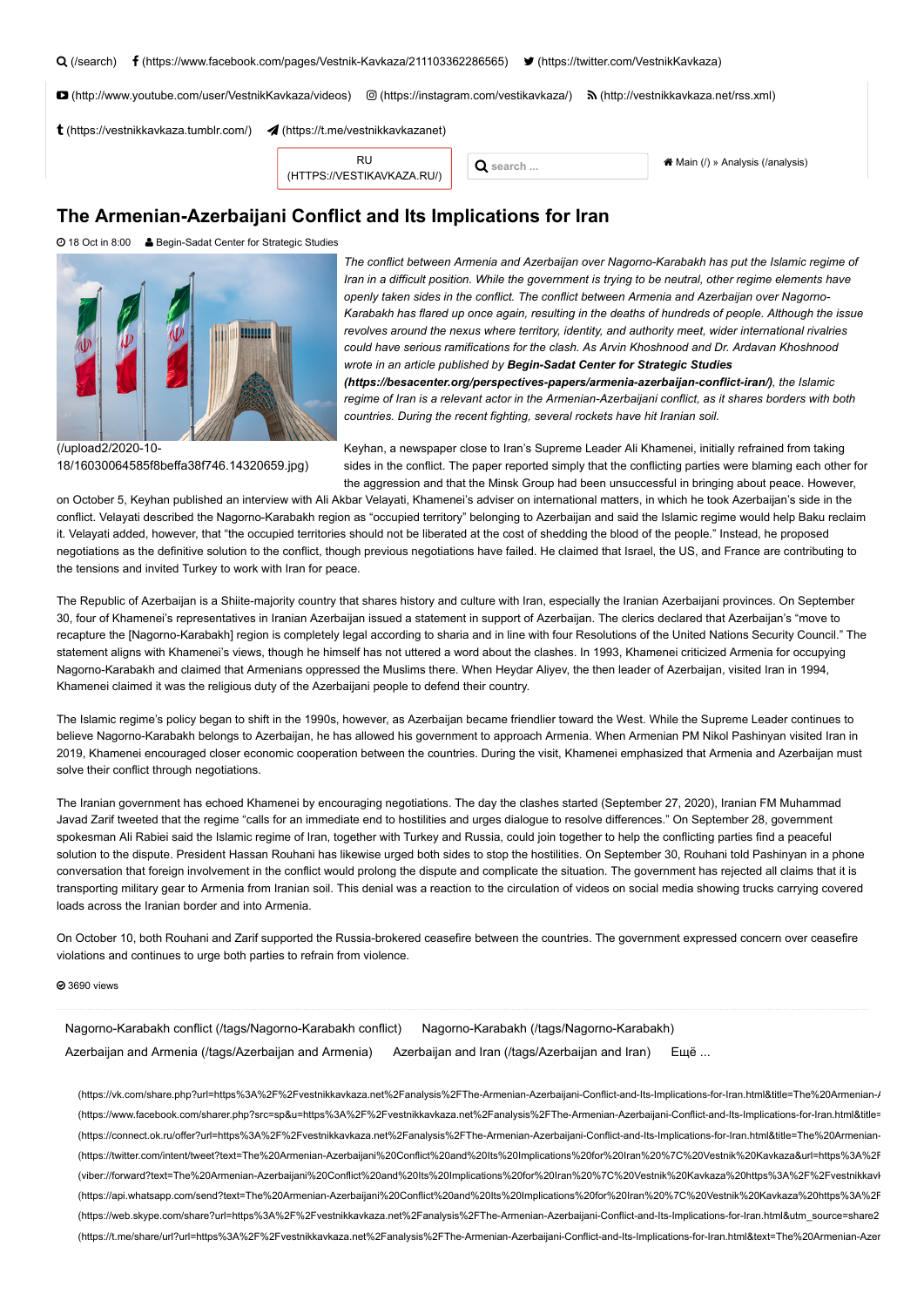| Q (/search) <b>f</b> (https://www.facebook.com/pages/Vestnik-Kavkaza/211103362286565) <b>●</b> (https://twitter.com/VestnikKavkaza) |  |
|-------------------------------------------------------------------------------------------------------------------------------------|--|
|                                                                                                                                     |  |

 [\(http://www.youtube.com/user/VestnikKavkaza/videos\)](http://www.youtube.com/user/VestnikKavkaza/videos)  [\(https://instagram.com/vestikavkaza/\)](https://instagram.com/vestikavkaza/)  [\(http://vestnikkavkaza.net/rss.xml\)](http://vestnikkavkaza.net/rss.xml)

 $t$  [\(https://vestnikkavkaza.tumblr.com/\)](https://vestnikkavkaza.tumblr.com/)  $\blacktriangleleft$  [\(https://t.me/vestnikkavkazanet\)](https://t.me/vestnikkavkazanet)

RU [\(HTTPS://VESTIKAVKAZA.RU/\)](https://vestikavkaza.ru/)

**Q** search ... **a Main** (*I*) » [Analysis \(/analysis\)](https://vestnikkavkaza.net/analysis)

## **The Armenian-Azerbaijani Conflict and Its Implications for Iran**

18 Oct in 8:00 Begin-Sadat Center for Strategic Studies



*The conflict between Armenia and Azerbaijan over Nagorno-Karabakh has put the Islamic regime of Iran in a difficult position. While the government is trying to be neutral, other regime elements have openly taken sides in the conflict. The conflict between Armenia and Azerbaijan over Nagorno-Karabakh has flared up once again, resulting in the deaths of hundreds of people. Although the issue revolves around the nexus where territory, identity, and authority meet, wider international rivalries could have serious ramifications for the clash. As Arvin Khoshnood and Dr. Ardavan Khoshnood wrote in an article published by Begin-Sadat Center for Strategic Studies [\(https://besacenter.org/perspectives-papers/armenia-azerbaijan-conflict-iran/\)](https://besacenter.org/perspectives-papers/armenia-azerbaijan-conflict-iran/), the Islamic regime of Iran is a relevant actor in the Armenian-Azerbaijani conflict, as it shares borders with both countries. During the recent fighting, several rockets have hit Iranian soil.*

(/upload2/2020-10- [18/16030064585f8beffa38f746.14320659.jpg\)](https://vestnikkavkaza.net/upload2/2020-10-18/16030064585f8beffa38f746.14320659.jpg)

Keyhan, a newspaper close to Iran's Supreme Leader Ali Khamenei, initially refrained from taking sides in the conflict. The paper reported simply that the conflicting parties were blaming each other for the aggression and that the Minsk Group had been unsuccessful in bringing about peace. However,

on October 5, Keyhan published an interview with Ali Akbar Velayati, Khamenei's adviser on international matters, in which he took Azerbaijan's side in the conflict. Velayati described the Nagorno-Karabakh region as "occupied territory" belonging to Azerbaijan and said the Islamic regime would help Baku reclaim it. Velayati added, however, that "the occupied territories should not be liberated at the cost of shedding the blood of the people." Instead, he proposed negotiations as the definitive solution to the conflict, though previous negotiations have failed. He claimed that Israel, the US, and France are contributing to the tensions and invited Turkey to work with Iran for peace.

The Republic of Azerbaijan is a Shiite-majority country that shares history and culture with Iran, especially the Iranian Azerbaijani provinces. On September 30, four of Khamenei's representatives in Iranian Azerbaijan issued a statement in support of Azerbaijan. The clerics declared that Azerbaijan's "move to recapture the [Nagorno-Karabakh] region is completely legal according to sharia and in line with four Resolutions of the United Nations Security Council." The statement aligns with Khamenei's views, though he himself has not uttered a word about the clashes. In 1993, Khamenei criticized Armenia for occupying Nagorno-Karabakh and claimed that Armenians oppressed the Muslims there. When Heydar Aliyev, the then leader of Azerbaijan, visited Iran in 1994, Khamenei claimed it was the religious duty of the Azerbaijani people to defend their country.

The Islamic regime's policy began to shift in the 1990s, however, as Azerbaijan became friendlier toward the West. While the Supreme Leader continues to believe Nagorno-Karabakh belongs to Azerbaijan, he has allowed his government to approach Armenia. When Armenian PM Nikol Pashinyan visited Iran in 2019, Khamenei encouraged closer economic cooperation between the countries. During the visit, Khamenei emphasized that Armenia and Azerbaijan must solve their conflict through negotiations.

The Iranian government has echoed Khamenei by encouraging negotiations. The day the clashes started (September 27, 2020), Iranian FM Muhammad Javad Zarif tweeted that the regime "calls for an immediate end to hostilities and urges dialogue to resolve differences." On September 28, government spokesman Ali Rabiei said the Islamic regime of Iran, together with Turkey and Russia, could join together to help the conflicting parties find a peaceful solution to the dispute. President Hassan Rouhani has likewise urged both sides to stop the hostilities. On September 30, Rouhani told Pashinyan in a phone conversation that foreign involvement in the conflict would prolong the dispute and complicate the situation. The government has rejected all claims that it is transporting military gear to Armenia from Iranian soil. This denial was a reaction to the circulation of videos on social media showing trucks carrying covered loads across the Iranian border and into Armenia.

On October 10, both Rouhani and Zarif supported the Russia-brokered ceasefire between the countries. The government expressed concern over ceasefire violations and continues to urge both parties to refrain from violence.

**@** 3690 views

[Nagorno-Karabakh conflict \(/tags/Nagorno-Karabakh conflict\)](https://vestnikkavkaza.net/tags/Nagorno-Karabakh%20conflict) [Nagorno-Karabakh \(/tags/Nagorno-Karabakh\)](https://vestnikkavkaza.net/tags/Nagorno-Karabakh) [Azerbaijan and Armenia \(/tags/Azerbaijan and Armenia\)](https://vestnikkavkaza.net/tags/Azerbaijan%20and%20Armenia) [Azerbaijan and Iran \(/tags/Azerbaijan and Iran\)](https://vestnikkavkaza.net/tags/Azerbaijan%20and%20Iran) Ещё ...

 [\(https://vk.com/share.php?url=https%3A%2F%2Fvestnikkavkaza.net%2Fanalysis%2FThe-Armenian-Azerbaijani-Conflict-and-Its-Implications-for-Iran.html&title=The%20Armenian-A](https://vk.com/share.php?url=https%3A%2F%2Fvestnikkavkaza.net%2Fanalysis%2FThe-Armenian-Azerbaijani-Conflict-and-Its-Implications-for-Iran.html&title=The%20Armenian-Azerbaijani%20Conflict%20and%20Its%20Implications%20for%20Iran%20%7C%20Vestnik%20Kavkaza&utm_source=share2)  [\(https://www.facebook.com/sharer.php?src=sp&u=https%3A%2F%2Fvestnikkavkaza.net%2Fanalysis%2FThe-Armenian-Azerbaijani-Conflict-and-Its-Implications-for-Iran.html&title=](https://www.facebook.com/sharer.php?src=sp&u=https%3A%2F%2Fvestnikkavkaza.net%2Fanalysis%2FThe-Armenian-Azerbaijani-Conflict-and-Its-Implications-for-Iran.html&title=The%20Armenian-Azerbaijani%20Conflict%20and%20Its%20Implications%20for%20Iran%20%7C%20Vestnik%20Kavkaza&utm_source=share2)  [\(https://connect.ok.ru/offer?url=https%3A%2F%2Fvestnikkavkaza.net%2Fanalysis%2FThe-Armenian-Azerbaijani-Conflict-and-Its-Implications-for-Iran.html&title=The%20Armenian-](https://connect.ok.ru/offer?url=https%3A%2F%2Fvestnikkavkaza.net%2Fanalysis%2FThe-Armenian-Azerbaijani-Conflict-and-Its-Implications-for-Iran.html&title=The%20Armenian-Azerbaijani%20Conflict%20and%20Its%20Implications%20for%20Iran%20%7C%20Vestnik%20Kavkaza&utm_source=share2)  [\(https://twitter.com/intent/tweet?text=The%20Armenian-Azerbaijani%20Conflict%20and%20Its%20Implications%20for%20Iran%20%7C%20Vestnik%20Kavkaza&url=https%3A%2F](https://twitter.com/intent/tweet?text=The%20Armenian-Azerbaijani%20Conflict%20and%20Its%20Implications%20for%20Iran%20%7C%20Vestnik%20Kavkaza&url=https%3A%2F%2Fvestnikkavkaza.net%2Fanalysis%2FThe-Armenian-Azerbaijani-Conflict-and-Its-Implications-for-Iran.html&utm_source=share2)  [\(viber://forward?text=The%20Armenian-Azerbaijani%20Conflict%20and%20Its%20Implications%20for%20Iran%20%7C%20Vestnik%20Kavkaza%20https%3A%2F%2Fvestnikkavk](viber://forward?text=The%20Armenian-Azerbaijani%20Conflict%20and%20Its%20Implications%20for%20Iran%20%7C%20Vestnik%20Kavkaza%20https%3A%2F%2Fvestnikkavkaza.net%2Fanalysis%2FThe-Armenian-Azerbaijani-Conflict-and-Its-Implications-for-Iran.html&utm_source=share2)  [\(https://api.whatsapp.com/send?text=The%20Armenian-Azerbaijani%20Conflict%20and%20Its%20Implications%20for%20Iran%20%7C%20Vestnik%20Kavkaza%20https%3A%2F](https://api.whatsapp.com/send?text=The%20Armenian-Azerbaijani%20Conflict%20and%20Its%20Implications%20for%20Iran%20%7C%20Vestnik%20Kavkaza%20https%3A%2F%2Fvestnikkavkaza.net%2Fanalysis%2FThe-Armenian-Azerbaijani-Conflict-and-Its-Implications-for-Iran.html&utm_source=share2)  [\(https://web.skype.com/share?url=https%3A%2F%2Fvestnikkavkaza.net%2Fanalysis%2FThe-Armenian-Azerbaijani-Conflict-and-Its-Implications-for-Iran.html&utm\\_source=share2](https://web.skype.com/share?url=https%3A%2F%2Fvestnikkavkaza.net%2Fanalysis%2FThe-Armenian-Azerbaijani-Conflict-and-Its-Implications-for-Iran.html&utm_source=share2)  [\(https://t.me/share/url?url=https%3A%2F%2Fvestnikkavkaza.net%2Fanalysis%2FThe-Armenian-Azerbaijani-Conflict-and-Its-Implications-for-Iran.html&text=The%20Armenian-Azer](https://t.me/share/url?url=https%3A%2F%2Fvestnikkavkaza.net%2Fanalysis%2FThe-Armenian-Azerbaijani-Conflict-and-Its-Implications-for-Iran.html&text=The%20Armenian-Azerbaijani%20Conflict%20and%20Its%20Implications%20for%20Iran%20%7C%20Vestnik%20Kavkaza&utm_source=share2)